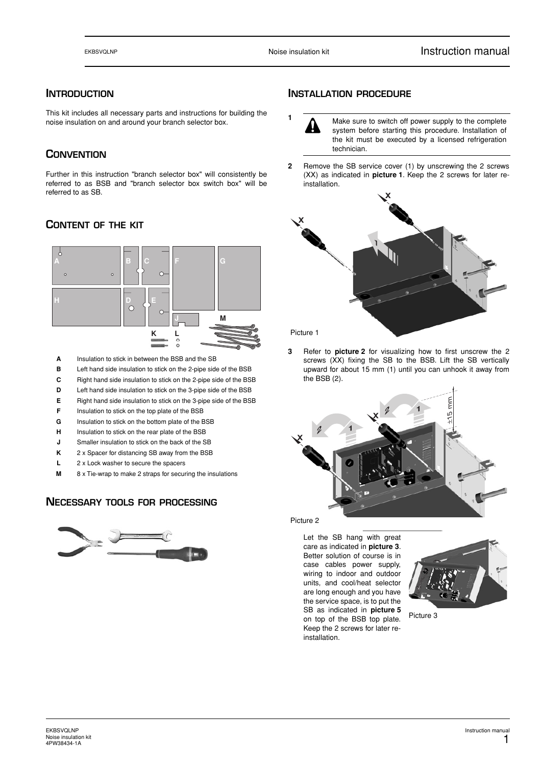## **INTRODUCTION**

This kit includes all necessary parts and instructions for building the noise insulation on and around your branch selector box.

# **CONVENTION**

Further in this instruction "branch selector box" will consistently be referred to as BSB and "branch selector box switch box" will be referred to as SB.

## **CONTENT OF THE KIT**



- **A** Insulation to stick in between the BSB and the SB
- **B** Left hand side insulation to stick on the 2-pipe side of the BSB
- **C** Right hand side insulation to stick on the 2-pipe side of the BSB
- **D** Left hand side insulation to stick on the 3-pipe side of the BSB
- **E** Right hand side insulation to stick on the 3-pipe side of the BSB
- **F** Insulation to stick on the top plate of the BSB
- **G** Insulation to stick on the bottom plate of the BSB
- **H** Insulation to stick on the rear plate of the BSB
- **J** Smaller insulation to stick on the back of the SB
- **K** 2 x Spacer for distancing SB away from the BSB
- **L** 2 x Lock washer to secure the spacers
- **M** 8 x Tie-wrap to make 2 straps for securing the insulations

#### **NECESSARY TOOLS FOR PROCESSING**



#### **INSTALLATION PROCEDURE**

- **<sup>1</sup>** Make sure to switch off power supply to the complete system before starting this procedure. Installation of the kit must be executed by a licensed refrigeration technician.
- **2** Remove the SB service cover (1) by unscrewing the 2 screws (XX) as indicated in **picture 1**. Keep the 2 screws for later reinstallation.



Picture 1

**3** Refer to **picture 2** for visualizing how to first unscrew the 2 screws (XX) fixing the SB to the BSB. Lift the SB vertically upward for about 15 mm (1) until you can unhook it away from the BSB (2).



Picture 2

Let the SB hang with great care as indicated in **picture 3**. Better solution of course is in case cables power supply, wiring to indoor and outdoor units, and cool/heat selector are long enough and you have the service space, is to put the SB as indicated in **picture 5** on top of the BSB top plate. Keep the 2 screws for later reinstallation.



Picture 3